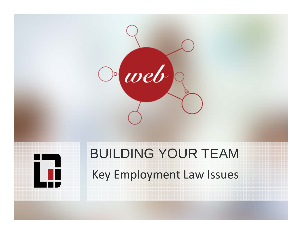



# BUILDING YOUR TEAM Key Employment Law Issues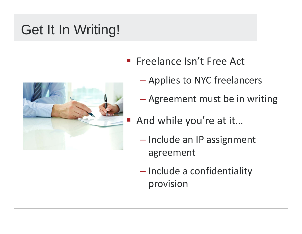# Get It In Writing!



- **Filter Isn't Free Act** 
	- $\mathcal{L}_{\mathcal{A}}$  , and the set of the set of the set of the set of the set of the set of the set of the set of the set of the set of the set of the set of the set of the set of the set of the set of the set of the set of th Applies to NYC freelancers
	- $\mathcal{L}_{\mathcal{A}}$ Agreement must be in writing
- And while you're at it...
	- $\mathcal{L}_{\mathcal{A}}$  , and the set of the set of the set of the set of the set of the set of the set of the set of the set of the set of the set of the set of the set of the set of the set of the set of the set of the set of th - Include an IP assignment agreement
	- Include a confidentiality provision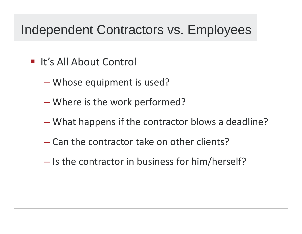#### Independent Contractors vs. Employees

- **If's All About Control** 
	- Whose equipment is used?
	- Where is the work performed?
	- What happens if the contractor blows a deadline?
	- Can the contractor take on other clients?
	- Is the contractor in business for him/herself?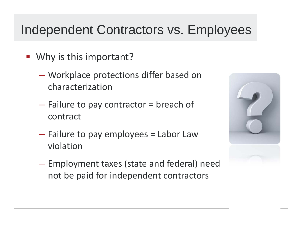#### Independent Contractors vs. Employees

- Why is this important?
	- Workplace protections differ based on characterization
	- Failure to pay contractor = breach of contract
	- Failure to pay employees = Labor Law violation
	- $\mathcal{L}_{\mathcal{A}}$  , and the set of  $\mathcal{L}_{\mathcal{A}}$  Employment taxes (state and federal) need not be paid for independent contractors

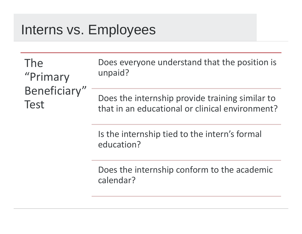#### Interns vs. Employees

The"Primary Beneficiary" Test

Does everyone understand that the position is unpaid?

Does the internship provide training similar to that in an educational or clinical environment?

Is the internship tied to the intern's formal education?

Does the internship conform to the academic calendar?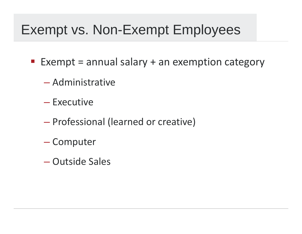#### Exempt vs. Non-Exempt Employees

- $\blacksquare$  Exempt = annual salary + an exemption category
	- Administrative
	- Executive
	- Professional (learned or creative)
	- Computer
	- Outside Sales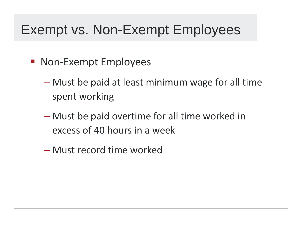#### Exempt vs. Non-Exempt Employees

- **Non-Exempt Employees** 
	- Must be paid at least minimum wage for all time spent working
	- Must be paid overtime for all time worked in excess of 40 hours in a week
	- Must record time worked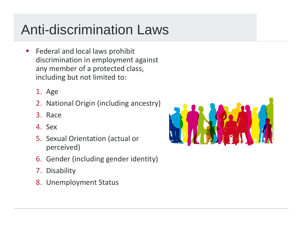# Anti-discrimination Laws

- $\Box$ **Federal and local laws prohibit** discrimination in employment against any member of a protected class, including but not limited to:
	- 1. Age
	- 2. National Origin (including ancestry)
	- 3. Race
	- 4. Sex
	- 5. Sexual Orientation (actual or perceived)
	- 6. Gender (including gender identity)
	- 7. Disability
	- 8. Unemployment Status

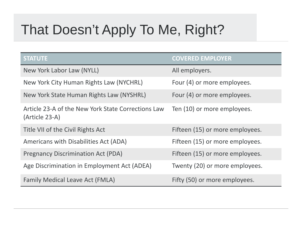# That Doesn't Apply To Me, Right?

| <b>STATUTE</b>                                                       | <b>COVERED EMPLOYER</b>         |
|----------------------------------------------------------------------|---------------------------------|
| New York Labor Law (NYLL)                                            | All employers.                  |
| New York City Human Rights Law (NYCHRL)                              | Four (4) or more employees.     |
| New York State Human Rights Law (NYSHRL)                             | Four (4) or more employees.     |
| Article 23-A of the New York State Corrections Law<br>(Article 23-A) | Ten (10) or more employees.     |
| Title VII of the Civil Rights Act                                    | Fifteen (15) or more employees. |
| Americans with Disabilities Act (ADA)                                | Fifteen (15) or more employees. |
| <b>Pregnancy Discrimination Act (PDA)</b>                            | Fifteen (15) or more employees. |
| Age Discrimination in Employment Act (ADEA)                          | Twenty (20) or more employees.  |
| <b>Family Medical Leave Act (FMLA)</b>                               | Fifty (50) or more employees.   |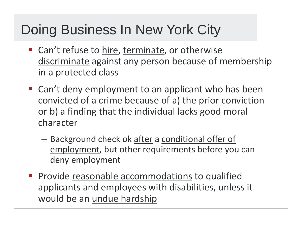### Doing Business In New York City

- **Can't refuse to hire, terminate, or otherwise** discriminate against any person because of membership in a protected class
- **E** Can't deny employment to an applicant who has been convicted of a crime because of a) the prior conviction or b) a finding that the individual lacks good moral character
	- Background check ok <u>after</u> a <u>conditional offer of</u> employment, but other requirements before you can deny employment
- **Provide reasonable accommodations to qualified** applicants and employees with disabilities, unless it would be an <u>undue hardship</u>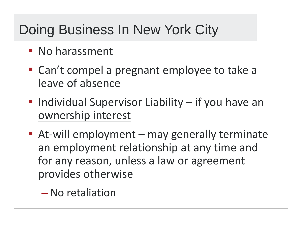## Doing Business In New York City

- **No harassment**
- Can't compel a pregnant employee to take a leave of absence
- **Individual Supervisor Liability if you have an** ownership interest
- At-will employment may generally terminate an employment relationship at any time and for any reason, unless a law or agreement provides otherwise
	- $\mathcal{L}_{\mathcal{A}}$  , and the set of  $\mathcal{L}_{\mathcal{A}}$ No retaliation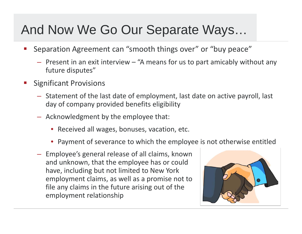#### And Now We Go Our Separate Ways…

- er<br>19 Separation Agreement can "smooth things over" or "buy peace"
	- Present in an exit interview "A means for us to part amicably without any future disputes"
- er<br>19 Significant Provisions
	- Statement of the last date of employment, last date on active payroll, last day of company provided benefits eligibility
	- Acknowledgment by the employee that:
		- Received all wages, bonuses, vacation, etc.
		- Payment of severance to which the employee is not otherwise entitled
	- Employee's general release of all claims, known and unknown, that the employee has or could have, including but not limited to New York employment claims, as well as a promise not to file any claims in the future arising out of the employment relationship

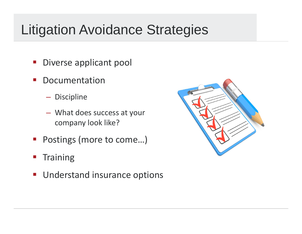### Litigation Avoidance Strategies

- $\mathbb{R}^n$ **Diverse applicant pool**
- $\mathcal{L}^{\mathcal{L}}$ **-** Documentation
	- $-$  Discipline
	- – What does success at your company look like?
- Postings (more to come...)
- **Training**
- $\mathcal{L}_{\mathcal{A}}$ **Understand insurance options**

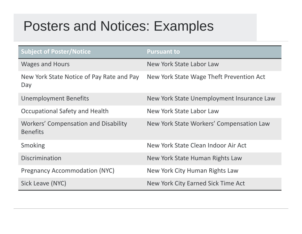## Posters and Notices: Examples

| <b>Subject of Poster/Notice</b>                                | <b>Pursuant to</b>                        |
|----------------------------------------------------------------|-------------------------------------------|
| <b>Wages and Hours</b>                                         | New York State Labor Law                  |
| New York State Notice of Pay Rate and Pay<br>Day               | New York State Wage Theft Prevention Act  |
| <b>Unemployment Benefits</b>                                   | New York State Unemployment Insurance Law |
| Occupational Safety and Health                                 | New York State Labor Law                  |
| <b>Workers' Compensation and Disability</b><br><b>Benefits</b> | New York State Workers' Compensation Law  |
| <b>Smoking</b>                                                 | New York State Clean Indoor Air Act       |
| <b>Discrimination</b>                                          | New York State Human Rights Law           |
| <b>Pregnancy Accommodation (NYC)</b>                           | New York City Human Rights Law            |
| Sick Leave (NYC)                                               | New York City Earned Sick Time Act        |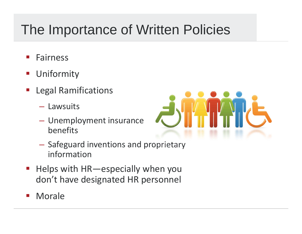## The Importance of Written Policies

- $\mathcal{C}^{\mathcal{A}}$ Fairness
- $\mathcal{L}_{\mathcal{A}}$ Uniformity
- $\mathcal{L}_{\mathcal{A}}$  Legal Ramifications
	- Lawsuits
	- Unemployment insurance benefits



- $\mathcal{L}_{\mathcal{A}}$  $-$  Safeguard inventions and proprietary information
- $\mathbb{R}^2$  Helps with HR—especially when you don't have designated HR personnel
- $\mathcal{L}_{\mathcal{A}}$ Morale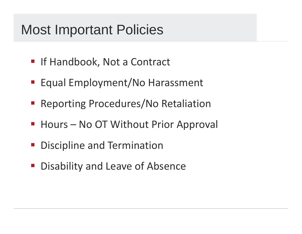#### Most Important Policies

- **E** If Handbook, Not a Contract
- **Equal Employment/No Harassment**
- **Reporting Procedures/No Retaliation**
- **Hours No OT Without Prior Approval**
- **Discipline and Termination**
- **Disability and Leave of Absence**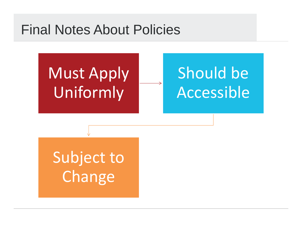#### Final Notes About Policies

Must Apply Uniformly

# Should be Accessible

Subject to **Change**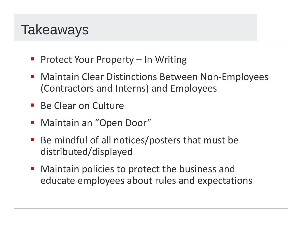#### **Takeaways**

- Protect Your Property In Writing
- Maintain Clear Distinctions Between Non-Employees (Contractors and Interns) and Employees
- **Be Clear on Culture**
- **Maintain an "Open Door"**
- ■ Be mindful of all notices/posters that must be distributed/displayed
- **Maintain policies to protect the business and** educate employees about rules and expectations